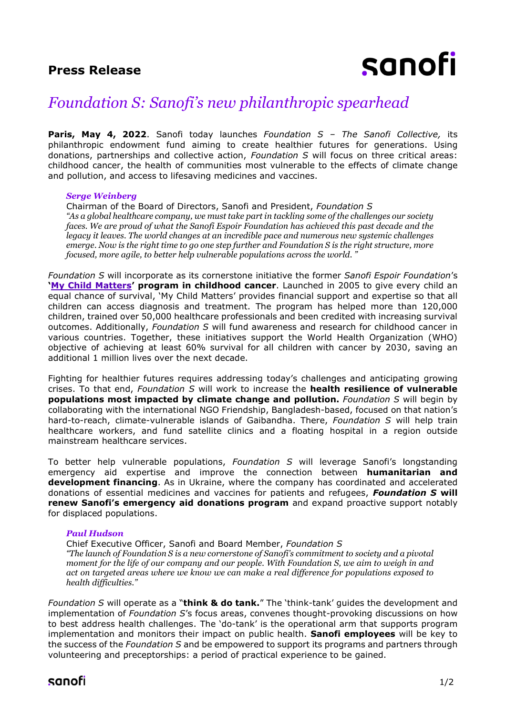## **Press Release**

# sanofi

## *Foundation S: Sanofi's new philanthropic spearhead*

**Paris, May 4, 2022**. Sanofi today launches *Foundation S – The Sanofi Collective,* its philanthropic endowment fund aiming to create healthier futures for generations. Using donations, partnerships and collective action, *Foundation S* will focus on three critical areas: childhood cancer, the health of communities most vulnerable to the effects of climate change and pollution, and access to lifesaving medicines and vaccines.

## *Serge Weinberg*

Chairman of the Board of Directors, Sanofi and President, *Foundation S "As a global healthcare company, we must take part in tackling some of the challenges our society faces. We are proud of what the Sanofi Espoir Foundation has achieved this past decade and the legacy it leaves. The world changes at an incredible pace and numerous new systemic challenges emerge. Now is the right time to go one step further and Foundation S is the right structure, more focused, more agile, to better help vulnerable populations across the world. "*

*Foundation S* will incorporate as its cornerstone initiative the former *Sanofi Espoir Foundation*'s **'[My Child Matters](https://www.sanofi.com/en/media-room/articles/2018/my-child-mattersimproving-childhood-cancer-survival-in-the-developing-world)' program in childhood cancer**. Launched in 2005 to give every child an equal chance of survival, 'My Child Matters' provides financial support and expertise so that all children can access diagnosis and treatment. The program has helped more than 120,000 children, trained over 50,000 healthcare professionals and been credited with increasing survival outcomes. Additionally, *Foundation S* will fund awareness and research for childhood cancer in various countries. Together, these initiatives support the World Health Organization (WHO) objective of achieving at least 60% survival for all children with cancer by 2030, saving an additional 1 million lives over the next decade.

Fighting for healthier futures requires addressing today's challenges and anticipating growing crises. To that end, *Foundation S* will work to increase the **health resilience of vulnerable populations most impacted by climate change and pollution.** *Foundation S* will begin by collaborating with the international NGO Friendship, Bangladesh-based, focused on that nation's hard-to-reach, climate-vulnerable islands of Gaibandha. There, *Foundation S* will help train healthcare workers, and fund satellite clinics and a floating hospital in a region outside mainstream healthcare services.

To better help vulnerable populations, *Foundation S* will leverage Sanofi's longstanding emergency aid expertise and improve the connection between **humanitarian and development financing**. As in Ukraine, where the company has coordinated and accelerated donations of essential medicines and vaccines for patients and refugees, *Foundation S* **will renew Sanofi's emergency aid donations program** and expand proactive support notably for displaced populations.

## *Paul Hudson*

Chief Executive Officer, Sanofi and Board Member, *Foundation S "The launch of Foundation S is a new cornerstone of Sanofi's commitment to society and a pivotal moment for the life of our company and our people. With Foundation S, we aim to weigh in and act on targeted areas where we know we can make a real difference for populations exposed to health difficulties."*

*Foundation S* will operate as a "**think & do tank.**" The 'think-tank' guides the development and implementation of *Foundation S*'s focus areas, convenes thought-provoking discussions on how to best address health challenges. The 'do-tank' is the operational arm that supports program implementation and monitors their impact on public health. **Sanofi employees** will be key to the success of the *Foundation S* and be empowered to support its programs and partners through volunteering and preceptorships: a period of practical experience to be gained.

## sanofi